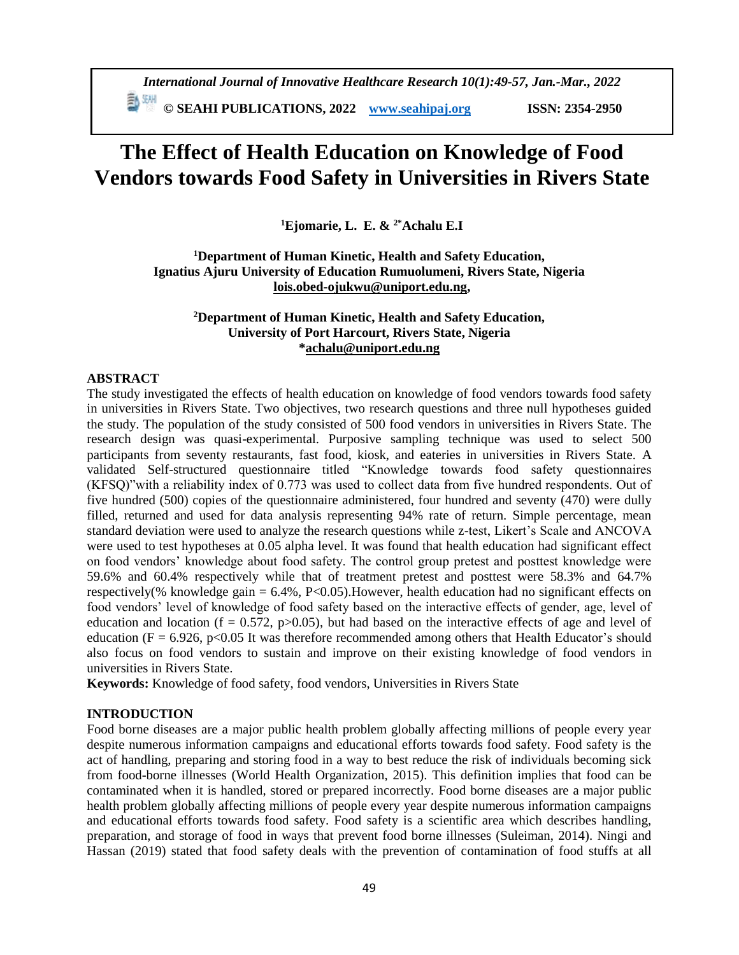# **The Effect of Health Education on Knowledge of Food Vendors towards Food Safety in Universities in Rivers State**

**<sup>1</sup>Ejomarie, L. E. & 2\*Achalu E.I**

**<sup>1</sup>Department of Human Kinetic, Health and Safety Education, Ignatius Ajuru University of Education Rumuolumeni, Rivers State, Nigeria [lois.obed-ojukwu@uniport.edu.ng,](mailto:lois.obed-ojukwu@uniport.edu.ng)** 

# **<sup>2</sup>Department of Human Kinetic, Health and Safety Education, University of Port Harcourt, Rivers State, Nigeria [\\*achalu@uniport.edu.ng](mailto:achalu@uniport.edu.ng)**

# **ABSTRACT**

The study investigated the effects of health education on knowledge of food vendors towards food safety in universities in Rivers State. Two objectives, two research questions and three null hypotheses guided the study. The population of the study consisted of 500 food vendors in universities in Rivers State. The research design was quasi-experimental. Purposive sampling technique was used to select 500 participants from seventy restaurants, fast food, kiosk, and eateries in universities in Rivers State. A validated Self-structured questionnaire titled "Knowledge towards food safety questionnaires (KFSQ)"with a reliability index of 0.773 was used to collect data from five hundred respondents. Out of five hundred (500) copies of the questionnaire administered, four hundred and seventy (470) were dully filled, returned and used for data analysis representing 94% rate of return. Simple percentage, mean standard deviation were used to analyze the research questions while z-test, Likert's Scale and ANCOVA were used to test hypotheses at 0.05 alpha level. It was found that health education had significant effect on food vendors' knowledge about food safety. The control group pretest and posttest knowledge were 59.6% and 60.4% respectively while that of treatment pretest and posttest were 58.3% and 64.7% respectively(% knowledge gain  $= 6.4\%$ , P<0.05). However, health education had no significant effects on food vendors' level of knowledge of food safety based on the interactive effects of gender, age, level of education and location (f = 0.572, p $>0.05$ ), but had based on the interactive effects of age and level of education ( $F = 6.926$ , p<0.05 It was therefore recommended among others that Health Educator's should also focus on food vendors to sustain and improve on their existing knowledge of food vendors in universities in Rivers State.

**Keywords:** Knowledge of food safety, food vendors, Universities in Rivers State

## **INTRODUCTION**

Food borne diseases are a major public health problem globally affecting millions of people every year despite numerous information campaigns and educational efforts towards food safety. Food safety is the act of handling, preparing and storing food in a way to best reduce the risk of individuals becoming sick from food-borne illnesses (World Health Organization, 2015). This definition implies that food can be contaminated when it is handled, stored or prepared incorrectly. Food borne diseases are a major public health problem globally affecting millions of people every year despite numerous information campaigns and educational efforts towards food safety. Food safety is a scientific area which describes handling, preparation, and storage of food in ways that prevent food borne illnesses (Suleiman, 2014). Ningi and Hassan (2019) stated that food safety deals with the prevention of contamination of food stuffs at all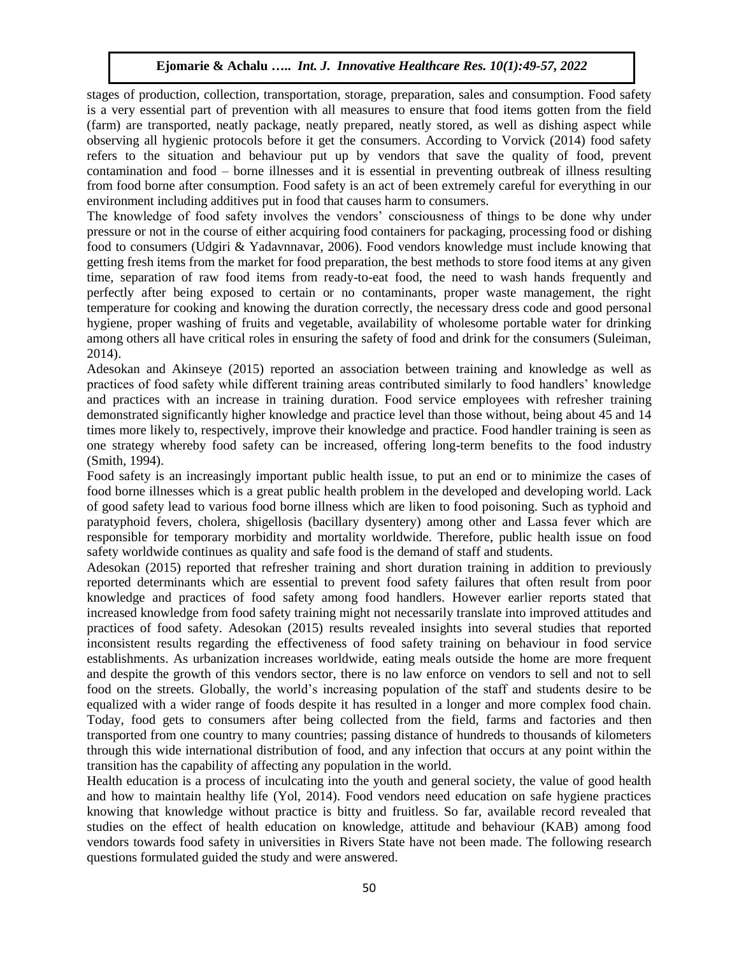stages of production, collection, transportation, storage, preparation, sales and consumption. Food safety is a very essential part of prevention with all measures to ensure that food items gotten from the field (farm) are transported, neatly package, neatly prepared, neatly stored, as well as dishing aspect while observing all hygienic protocols before it get the consumers. According to Vorvick (2014) food safety refers to the situation and behaviour put up by vendors that save the quality of food, prevent contamination and food – borne illnesses and it is essential in preventing outbreak of illness resulting from food borne after consumption. Food safety is an act of been extremely careful for everything in our environment including additives put in food that causes harm to consumers.

The knowledge of food safety involves the vendors' consciousness of things to be done why under pressure or not in the course of either acquiring food containers for packaging, processing food or dishing food to consumers (Udgiri & Yadavnnavar, 2006). Food vendors knowledge must include knowing that getting fresh items from the market for food preparation, the best methods to store food items at any given time, separation of raw food items from ready-to-eat food, the need to wash hands frequently and perfectly after being exposed to certain or no contaminants, proper waste management, the right temperature for cooking and knowing the duration correctly, the necessary dress code and good personal hygiene, proper washing of fruits and vegetable, availability of wholesome portable water for drinking among others all have critical roles in ensuring the safety of food and drink for the consumers (Suleiman, 2014).

Adesokan and Akinseye (2015) reported an association between training and knowledge as well as practices of food safety while different training areas contributed similarly to food handlers' knowledge and practices with an increase in training duration. Food service employees with refresher training demonstrated significantly higher knowledge and practice level than those without, being about 45 and 14 times more likely to, respectively, improve their knowledge and practice. Food handler training is seen as one strategy whereby food safety can be increased, offering long-term benefits to the food industry (Smith, 1994).

Food safety is an increasingly important public health issue, to put an end or to minimize the cases of food borne illnesses which is a great public health problem in the developed and developing world. Lack of good safety lead to various food borne illness which are liken to food poisoning. Such as typhoid and paratyphoid fevers, cholera, shigellosis (bacillary dysentery) among other and Lassa fever which are responsible for temporary morbidity and mortality worldwide. Therefore, public health issue on food safety worldwide continues as quality and safe food is the demand of staff and students.

Adesokan (2015) reported that refresher training and short duration training in addition to previously reported determinants which are essential to prevent food safety failures that often result from poor knowledge and practices of food safety among food handlers. However earlier reports stated that increased knowledge from food safety training might not necessarily translate into improved attitudes and practices of food safety. Adesokan (2015) results revealed insights into several studies that reported inconsistent results regarding the effectiveness of food safety training on behaviour in food service establishments. As urbanization increases worldwide, eating meals outside the home are more frequent and despite the growth of this vendors sector, there is no law enforce on vendors to sell and not to sell food on the streets. Globally, the world's increasing population of the staff and students desire to be equalized with a wider range of foods despite it has resulted in a longer and more complex food chain. Today, food gets to consumers after being collected from the field, farms and factories and then transported from one country to many countries; passing distance of hundreds to thousands of kilometers through this wide international distribution of food, and any infection that occurs at any point within the transition has the capability of affecting any population in the world.

Health education is a process of inculcating into the youth and general society, the value of good health and how to maintain healthy life (Yol, 2014). Food vendors need education on safe hygiene practices knowing that knowledge without practice is bitty and fruitless. So far, available record revealed that studies on the effect of health education on knowledge, attitude and behaviour (KAB) among food vendors towards food safety in universities in Rivers State have not been made. The following research questions formulated guided the study and were answered.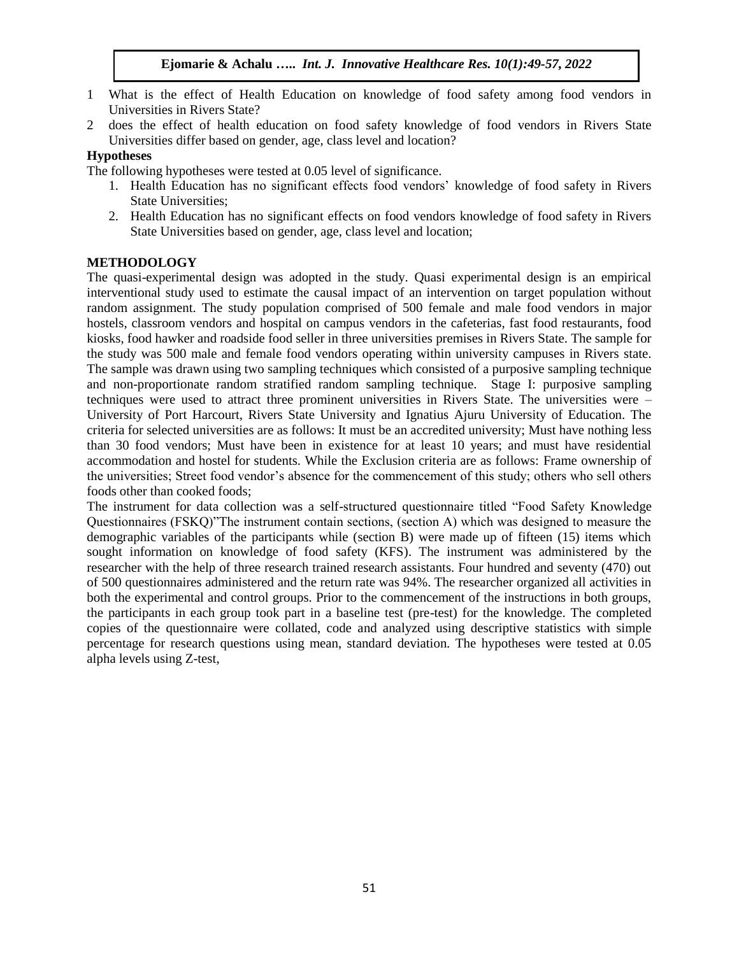- 1 What is the effect of Health Education on knowledge of food safety among food vendors in Universities in Rivers State?
- 2 does the effect of health education on food safety knowledge of food vendors in Rivers State Universities differ based on gender, age, class level and location?

## **Hypotheses**

The following hypotheses were tested at 0.05 level of significance.

- 1. Health Education has no significant effects food vendors' knowledge of food safety in Rivers State Universities;
- 2. Health Education has no significant effects on food vendors knowledge of food safety in Rivers State Universities based on gender, age, class level and location;

## **METHODOLOGY**

The quasi-experimental design was adopted in the study. Quasi experimental design is an empirical interventional study used to estimate the causal impact of an intervention on target population without random assignment. The study population comprised of 500 female and male food vendors in major hostels, classroom vendors and hospital on campus vendors in the cafeterias, fast food restaurants, food kiosks, food hawker and roadside food seller in three universities premises in Rivers State. The sample for the study was 500 male and female food vendors operating within university campuses in Rivers state. The sample was drawn using two sampling techniques which consisted of a purposive sampling technique and non-proportionate random stratified random sampling technique. Stage I: purposive sampling techniques were used to attract three prominent universities in Rivers State. The universities were – University of Port Harcourt, Rivers State University and Ignatius Ajuru University of Education. The criteria for selected universities are as follows: It must be an accredited university; Must have nothing less than 30 food vendors; Must have been in existence for at least 10 years; and must have residential accommodation and hostel for students. While the Exclusion criteria are as follows: Frame ownership of the universities; Street food vendor's absence for the commencement of this study; others who sell others foods other than cooked foods;

The instrument for data collection was a self-structured questionnaire titled "Food Safety Knowledge Questionnaires (FSKQ)"The instrument contain sections, (section A) which was designed to measure the demographic variables of the participants while (section B) were made up of fifteen (15) items which sought information on knowledge of food safety (KFS). The instrument was administered by the researcher with the help of three research trained research assistants. Four hundred and seventy (470) out of 500 questionnaires administered and the return rate was 94%. The researcher organized all activities in both the experimental and control groups. Prior to the commencement of the instructions in both groups, the participants in each group took part in a baseline test (pre-test) for the knowledge. The completed copies of the questionnaire were collated, code and analyzed using descriptive statistics with simple percentage for research questions using mean, standard deviation. The hypotheses were tested at 0.05 alpha levels using Z-test,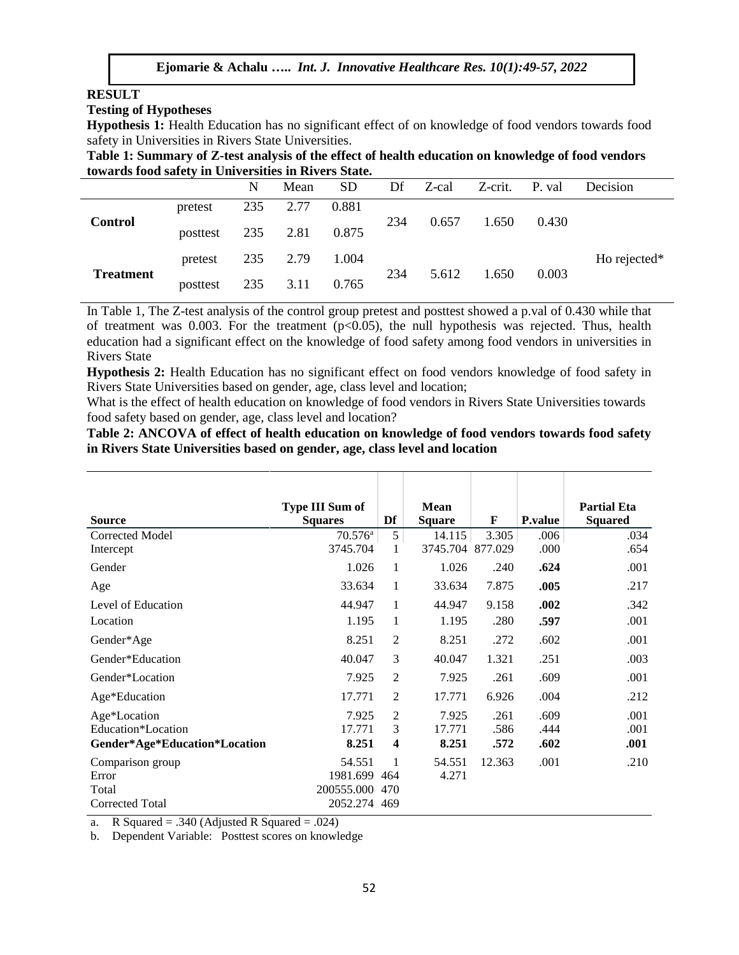## **RESULT**

#### **Testing of Hypotheses**

**Hypothesis 1:** Health Education has no significant effect of on knowledge of food vendors towards food safety in Universities in Rivers State Universities.

**Table 1: Summary of Z-test analysis of the effect of health education on knowledge of food vendors towards food safety in Universities in Rivers State.**

|                  |          | N   | Mean | <b>SD</b> | Df  | Z-cal | Z-crit. | P. val | Decision     |
|------------------|----------|-----|------|-----------|-----|-------|---------|--------|--------------|
| <b>Control</b>   | pretest  | 235 | 2.77 | 0.881     | 234 | 0.657 | 1.650   | 0.430  |              |
|                  | posttest | 235 | 2.81 | 0.875     |     |       |         |        |              |
| <b>Treatment</b> | pretest  | 235 | 2.79 | 1.004     | 234 | 5.612 | 1.650   | 0.003  | Ho rejected* |
|                  | posttest | 235 | 3.11 | 0.765     |     |       |         |        |              |

In Table 1, The Z-test analysis of the control group pretest and posttest showed a p.val of 0.430 while that of treatment was 0.003. For the treatment  $(p<0.05)$ , the null hypothesis was rejected. Thus, health education had a significant effect on the knowledge of food safety among food vendors in universities in Rivers State

**Hypothesis 2:** Health Education has no significant effect on food vendors knowledge of food safety in Rivers State Universities based on gender, age, class level and location;

What is the effect of health education on knowledge of food vendors in Rivers State Universities towards food safety based on gender, age, class level and location?

**Table 2: ANCOVA of effect of health education on knowledge of food vendors towards food safety in Rivers State Universities based on gender, age, class level and location**

|                                    | <b>Type III Sum of</b> |                     | <b>Mean</b>     |              |                 | <b>Partial Eta</b> |
|------------------------------------|------------------------|---------------------|-----------------|--------------|-----------------|--------------------|
| <b>Source</b>                      | <b>Squares</b>         | Df                  | <b>Square</b>   | F            | <b>P</b> .value | <b>Squared</b>     |
| <b>Corrected Model</b>             | $70.576^{\rm a}$       | 5 <sup>1</sup>      | 14.115          | 3.305        | .006            | .034               |
| Intercept                          | 3745.704               | 1                   | 3745.704        | 877.029      | .000            | .654               |
| Gender                             | 1.026                  | 1                   | 1.026           | .240         | .624            | .001               |
| Age                                | 33.634                 | 1                   | 33.634          | 7.875        | .005            | .217               |
| Level of Education                 | 44.947                 | 1                   | 44.947          | 9.158        | .002            | .342               |
| Location                           | 1.195                  | 1                   | 1.195           | .280         | .597            | .001               |
| Gender*Age                         | 8.251                  | $\overline{2}$      | 8.251           | .272         | .602            | .001               |
| Gender*Education                   | 40.047                 | 3                   | 40.047          | 1.321        | .251            | .003               |
| Gender*Location                    | 7.925                  | $\overline{2}$      | 7.925           | .261         | .609            | .001               |
| Age*Education                      | 17.771                 | 2                   | 17.771          | 6.926        | .004            | .212               |
| Age*Location<br>Education*Location | 7.925<br>17.771        | $\overline{c}$<br>3 | 7.925<br>17.771 | .261<br>.586 | .609<br>.444    | .001<br>.001       |
| Gender*Age*Education*Location      | 8.251                  | 4                   | 8.251           | .572         | .602            | .001               |
| Comparison group                   | 54.551                 |                     | 54.551          | 12.363       | .001            | .210               |
| Error                              | 1981.699               | 464                 | 4.271           |              |                 |                    |
| Total                              | 200555.000             | 470                 |                 |              |                 |                    |
| Corrected Total                    | 2052.274               | 469                 |                 |              |                 |                    |

a. R Squared = .340 (Adjusted R Squared = .024)

b. Dependent Variable: Posttest scores on knowledge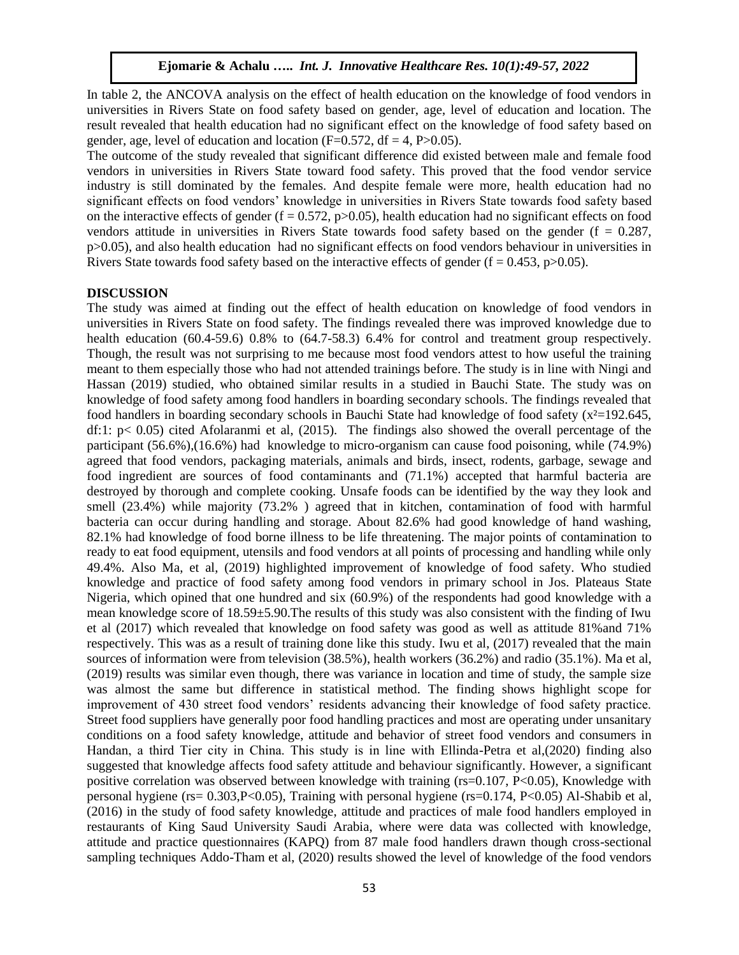In table 2, the ANCOVA analysis on the effect of health education on the knowledge of food vendors in universities in Rivers State on food safety based on gender, age, level of education and location. The result revealed that health education had no significant effect on the knowledge of food safety based on gender, age, level of education and location  $(F=0.572, df = 4, P>0.05)$ .

The outcome of the study revealed that significant difference did existed between male and female food vendors in universities in Rivers State toward food safety. This proved that the food vendor service industry is still dominated by the females. And despite female were more, health education had no significant effects on food vendors' knowledge in universities in Rivers State towards food safety based on the interactive effects of gender ( $f = 0.572$ ,  $p > 0.05$ ), health education had no significant effects on food vendors attitude in universities in Rivers State towards food safety based on the gender ( $f = 0.287$ , p>0.05), and also health education had no significant effects on food vendors behaviour in universities in Rivers State towards food safety based on the interactive effects of gender ( $f = 0.453$ ,  $p > 0.05$ ).

### **DISCUSSION**

The study was aimed at finding out the effect of health education on knowledge of food vendors in universities in Rivers State on food safety. The findings revealed there was improved knowledge due to health education (60.4-59.6) 0.8% to (64.7-58.3) 6.4% for control and treatment group respectively. Though, the result was not surprising to me because most food vendors attest to how useful the training meant to them especially those who had not attended trainings before. The study is in line with Ningi and Hassan (2019) studied, who obtained similar results in a studied in Bauchi State. The study was on knowledge of food safety among food handlers in boarding secondary schools. The findings revealed that food handlers in boarding secondary schools in Bauchi State had knowledge of food safety (x²=192.645, df:1: p< 0.05) cited Afolaranmi et al, (2015). The findings also showed the overall percentage of the participant (56.6%),(16.6%) had knowledge to micro-organism can cause food poisoning, while (74.9%) agreed that food vendors, packaging materials, animals and birds, insect, rodents, garbage, sewage and food ingredient are sources of food contaminants and (71.1%) accepted that harmful bacteria are destroyed by thorough and complete cooking. Unsafe foods can be identified by the way they look and smell (23.4%) while majority (73.2% ) agreed that in kitchen, contamination of food with harmful bacteria can occur during handling and storage. About 82.6% had good knowledge of hand washing, 82.1% had knowledge of food borne illness to be life threatening. The major points of contamination to ready to eat food equipment, utensils and food vendors at all points of processing and handling while only 49.4%. Also Ma, et al, (2019) highlighted improvement of knowledge of food safety. Who studied knowledge and practice of food safety among food vendors in primary school in Jos. Plateaus State Nigeria, which opined that one hundred and six (60.9%) of the respondents had good knowledge with a mean knowledge score of 18.59±5.90.The results of this study was also consistent with the finding of Iwu et al (2017) which revealed that knowledge on food safety was good as well as attitude 81%and 71% respectively. This was as a result of training done like this study. Iwu et al, (2017) revealed that the main sources of information were from television (38.5%), health workers (36.2%) and radio (35.1%). Ma et al, (2019) results was similar even though, there was variance in location and time of study, the sample size was almost the same but difference in statistical method. The finding shows highlight scope for improvement of 430 street food vendors' residents advancing their knowledge of food safety practice. Street food suppliers have generally poor food handling practices and most are operating under unsanitary conditions on a food safety knowledge, attitude and behavior of street food vendors and consumers in Нandan, a third Tier city in China. This study is in line with Ellinda-Petra et al,(2020) finding also suggested that knowledge affects food safety attitude and behaviour significantly. However, a significant positive correlation was observed between knowledge with training (rs=0.107, P<0.05), Knowledge with personal hygiene (rs= 0.303,P<0.05), Training with personal hygiene (rs=0.174, P<0.05) Al-Shabib et al, (2016) in the study of food safety knowledge, attitude and practices of male food handlers employed in restaurants of King Saud University Saudi Arabia, where were data was collected with knowledge, attitude and practice questionnaires (KAPQ) from 87 male food handlers drawn though cross-sectional sampling techniques Addo-Tham et al, (2020) results showed the level of knowledge of the food vendors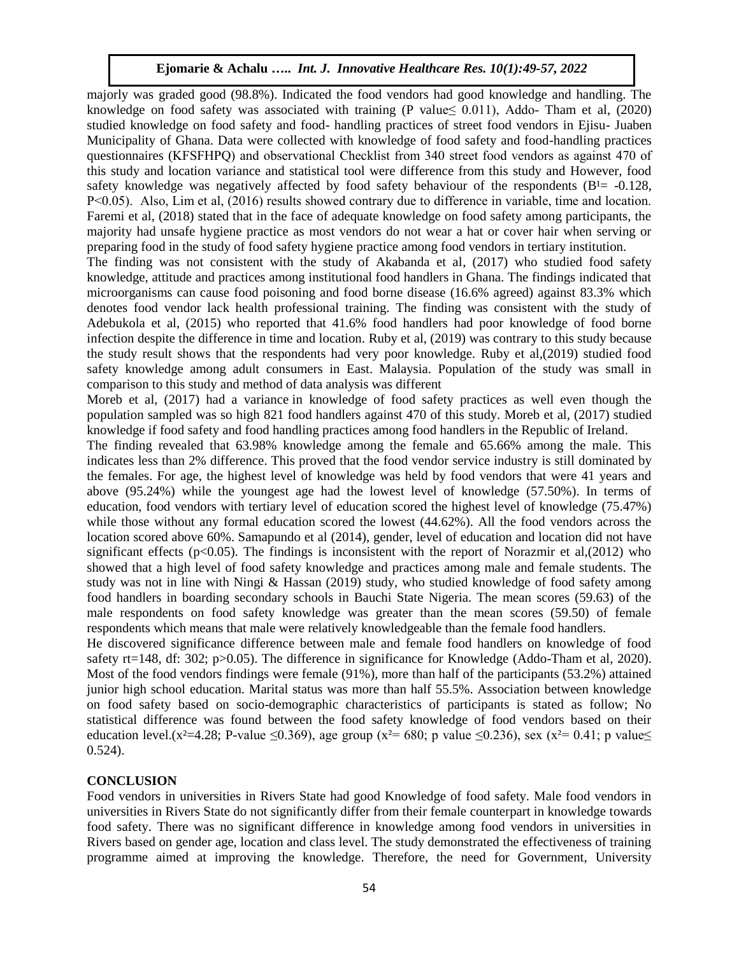majorly was graded good (98.8%). Indicated the food vendors had good knowledge and handling. The knowledge on food safety was associated with training (P value  $\leq 0.011$ ), Addo- Tham et al, (2020) studied knowledge on food safety and food- handling practices of street food vendors in Ejisu- Juaben Municipality of Ghana. Data were collected with knowledge of food safety and food-handling practices questionnaires (KFSFНPQ) and observational Checklist from 340 street food vendors as against 470 of this study and location variance and statistical tool were difference from this study and However, food safety knowledge was negatively affected by food safety behaviour of the respondents  $(B<sup>1</sup>= -0.128$ , P˂0.05). Also, Lim et al, (2016) results showed contrary due to difference in variable, time and location. Faremi et al, (2018) stated that in the face of adequate knowledge on food safety among participants, the majority had unsafe hygiene practice as most vendors do not wear a hat or cover hair when serving or preparing food in the study of food safety hygiene practice among food vendors in tertiary institution.

The finding was not consistent with the study of Akabanda et al, (2017) who studied food safety knowledge, attitude and practices among institutional food handlers in Ghana. The findings indicated that microorganisms can cause food poisoning and food borne disease (16.6% agreed) against 83.3% which denotes food vendor lack health professional training. The finding was consistent with the study of Adebukola et al, (2015) who reported that 41.6% food handlers had poor knowledge of food borne infection despite the difference in time and location. Ruby et al, (2019) was contrary to this study because the study result shows that the respondents had very poor knowledge. Ruby et al,(2019) studied food safety knowledge among adult consumers in East. Malaysia. Population of the study was small in comparison to this study and method of data analysis was different

Moreb et al, (2017) had a variance in knowledge of food safety practices as well even though the population sampled was so high 821 food handlers against 470 of this study. Moreb et al, (2017) studied knowledge if food safety and food handling practices among food handlers in the Republic of Ireland.

The finding revealed that 63.98% knowledge among the female and 65.66% among the male. This indicates less than 2% difference. This proved that the food vendor service industry is still dominated by the females. For age, the highest level of knowledge was held by food vendors that were 41 years and above (95.24%) while the youngest age had the lowest level of knowledge (57.50%). In terms of education, food vendors with tertiary level of education scored the highest level of knowledge (75.47%) while those without any formal education scored the lowest (44.62%). All the food vendors across the location scored above 60%. Samapundo et al (2014), gender, level of education and location did not have significant effects ( $p<0.05$ ). The findings is inconsistent with the report of Norazmir et al.(2012) who showed that a high level of food safety knowledge and practices among male and female students. The study was not in line with Ningi & Hassan (2019) study, who studied knowledge of food safety among food handlers in boarding secondary schools in Bauchi State Nigeria. The mean scores (59.63) of the male respondents on food safety knowledge was greater than the mean scores (59.50) of female respondents which means that male were relatively knowledgeable than the female food handlers.

He discovered significance difference between male and female food handlers on knowledge of food safety rt=148, df: 302; p>0.05). The difference in significance for Knowledge (Addo-Tham et al, 2020). Most of the food vendors findings were female (91%), more than half of the participants (53.2%) attained junior high school education. Marital status was more than half 55.5%. Association between knowledge on food safety based on socio-demographic characteristics of participants is stated as follow; No statistical difference was found between the food safety knowledge of food vendors based on their education level.(x<sup>2</sup>=4.28; P-value ≤0.369), age group (x<sup>2</sup>= 680; p value ≤0.236), sex (x<sup>2</sup>= 0.41; p value ≤ 0.524).

## **CONCLUSION**

Food vendors in universities in Rivers State had good Knowledge of food safety. Male food vendors in universities in Rivers State do not significantly differ from their female counterpart in knowledge towards food safety. There was no significant difference in knowledge among food vendors in universities in Rivers based on gender age, location and class level. The study demonstrated the effectiveness of training programme aimed at improving the knowledge. Therefore, the need for Government, University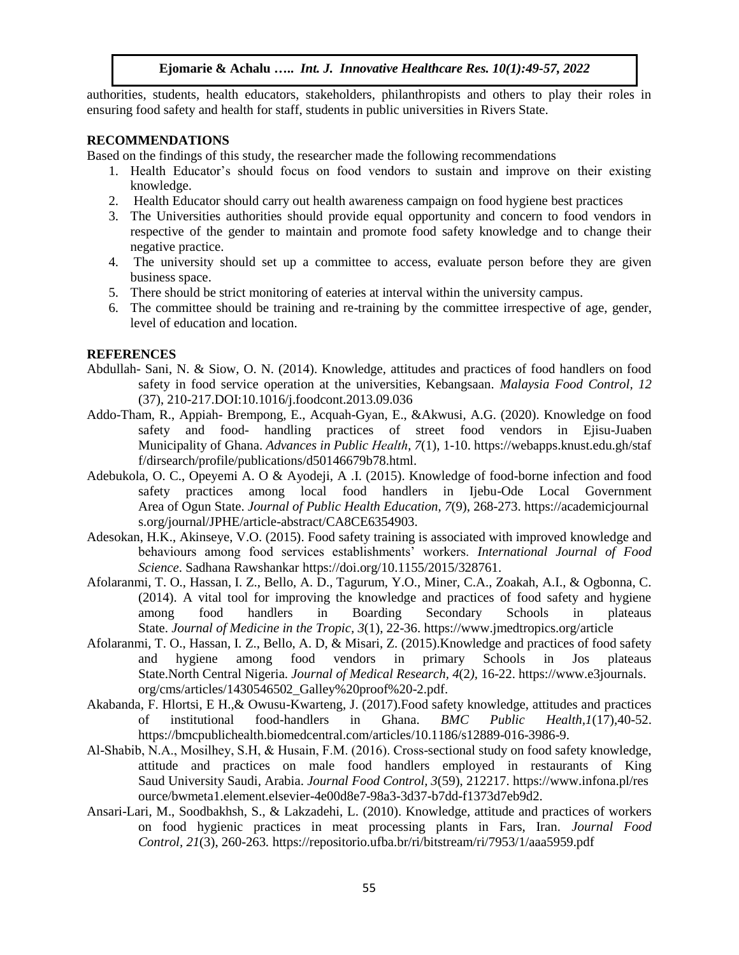authorities, students, health educators, stakeholders, philanthropists and others to play their roles in ensuring food safety and health for staff, students in public universities in Rivers State.

#### **RECOMMENDATIONS**

Based on the findings of this study, the researcher made the following recommendations

- 1. Health Educator's should focus on food vendors to sustain and improve on their existing knowledge.
- 2. Health Educator should carry out health awareness campaign on food hygiene best practices
- 3. The Universities authorities should provide equal opportunity and concern to food vendors in respective of the gender to maintain and promote food safety knowledge and to change their negative practice.
- 4. The university should set up a committee to access, evaluate person before they are given business space.
- 5. There should be strict monitoring of eateries at interval within the university campus.
- 6. The committee should be training and re-training by the committee irrespective of age, gender, level of education and location.

#### **REFERENCES**

- Abdullah- Sani, N. & Siow, O. N. (2014). Knowledge, attitudes and practices of food handlers on food safety in food service operation at the universities, Kebangsaan. *Malaysia Food Control, 12*  (37), 210-217.DOI[:10.1016/j.foodcont.2013.09.036](http://dx.doi.org/10.1016/j.foodcont.2013.09.036)
- Addo-Tham, R., Appiah- Brempong, E., Acquah-Gyan, E., &Akwusi, A.G. (2020). Knowledge on food safety and food- handling practices of street food vendors in Ejisu-Juaben Municipality of Ghana. *Advances in Public Нealth*, *7*(1), 1-10. https://webapps.knust.edu.gh/staf f/dirsearch/profile/publications/d50146679b78.html.
- Adebukola, O. C., Opeyemi A. O & Ayodeji, A .I. (2015). Knowledge of food-borne infection and food safety practices among local food handlers in Ijebu-Ode Local Government Area of Ogun State. *Journal of Public Health Education*, *7*(9), 268-273. https://academicjournal s.org/journal/JPHE/article-abstract/CA8CE6354903.
- Adesokan, H.K., Akinseye, V.O. (2015). Food safety training is associated with improved knowledge and behaviours among food services establishments' workers. *International Journal of Food Science*. Sadhana Rawshankar [https://doi.org/10.1155/2015/328761.](https://doi.org/10.1155/2015/328761)
- Afolaranmi, T. O., Hassan, I. Z., Bello, A. D., Tagurum, Y.O., Miner, C.A., Zoakah, A.I., & Ogbonna, C. (2014). A vital tool for improving the knowledge and practices of food safety and hygiene among food handlers in Boarding Secondary Schools in plateaus State. *Journal of Medicine in the Tropic, 3*(1), 22-36. https://www.jmedtropics.org/article
- Afolaranmi, T. O., Hassan, I. Z., Bello, A. D, & Misari, Z. (2015).Knowledge and practices of food safety and hygiene among food vendors in primary Schools in Jos plateaus State.North Central Nigeria. *Journal of Medical Research, 4*(2*),* 16-22. https://www.e3journals. org/cms/articles/1430546502\_Galley%20proof%20-2.pdf.
- Akabanda, F. Hlortsi, E H.,& Owusu-Kwarteng, J. (2017).Food safety knowledge, attitudes and practices of institutional food-handlers in Ghana. *BMC Public Health,1*(17),40-52. [https://bmcpublichealth.biomedcentral.com/articles/10.1186/s12889-016-3986-9.](https://bmcpublichealth.biomedcentral.com/articles/10.1186/s12889-016-3986-9)
- Al-Shabib, N.A., Mosilhey, S.Н, & Нusain, F.M. (2016). Cross-sectional study on food safety knowledge, attitude and practices on male food handlers employed in restaurants of King Saud University Saudi, Arabia. *Journal Food Control, 3*(59), 212217. [https://www.infona.pl/res](https://www.infona.pl/resource/bwmeta1.element.elsevier-4e00d8e7-98a3-3d37-b7dd-f1373d7eb9d2) [ource/bwmeta1.element.elsevier-4e00d8e7-98a3-3d37-b7dd-f1373d7eb9d2.](https://www.infona.pl/resource/bwmeta1.element.elsevier-4e00d8e7-98a3-3d37-b7dd-f1373d7eb9d2)
- Ansari-Lari, M., Soodbakhsh, S., & Lakzadehi, L. (2010). Knowledge, attitude and practices of workers on food hygienic practices in meat processing plants in Fars, Iran. *Journal Food Control, 21*(3), 260-263*.* <https://repositorio.ufba.br/ri/bitstream/ri/7953/1/aaa5959.pdf>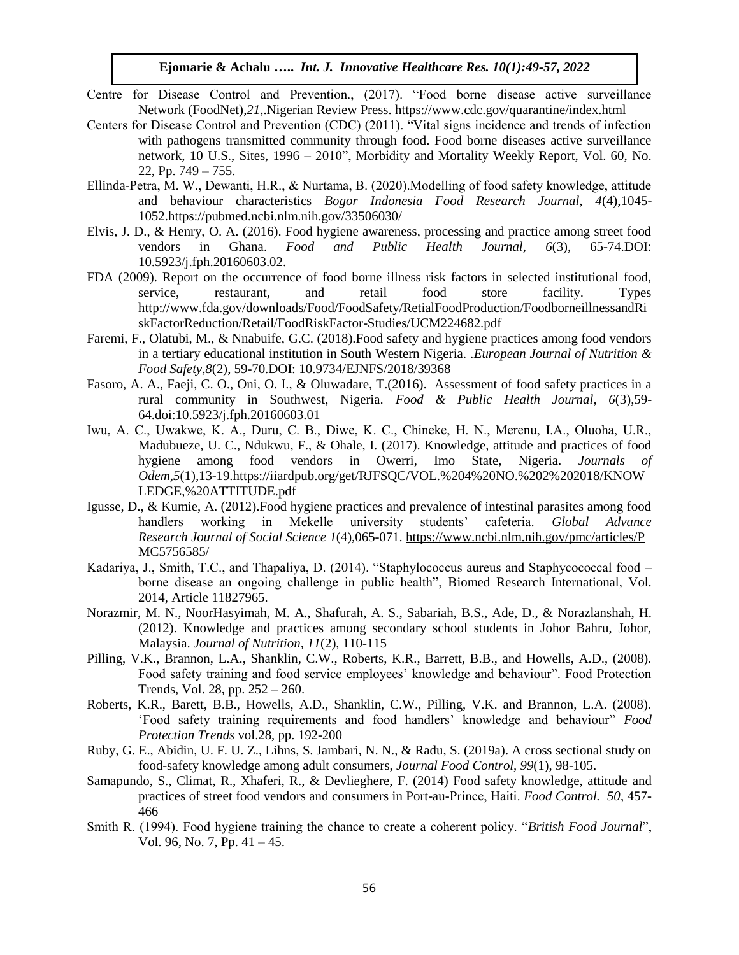- Centre for Disease Control and Prevention., (2017). "Food borne disease active surveillance Network (FoodNet),*21*,.Nigerian Review Press. <https://www.cdc.gov/quarantine/index.html>
- Centers for Disease Control and Prevention (CDC) (2011). "Vital signs incidence and trends of infection with pathogens transmitted community through food. Food borne diseases active surveillance network, 10 U.S., Sites, 1996 – 2010", Morbidity and Mortality Weekly Report, Vol. 60, No. 22, Pp.  $749 - 755$ .
- Ellinda-Petra, M. W., Dewanti, Н.R., & Nurtama, B. (2020).Modelling of food safety knowledge, attitude and behaviour characteristics *Bogor Indonesia Food Research Journal, 4*(4),1045- 1052.https://pubmed.ncbi.nlm.nih.gov/33506030/
- Elvis, J. D., & Henry, O. A. (2016). Food hygiene awareness, processing and practice among street food vendors in Ghana. *Food and Public Health Journal, 6*(3), 65-74.DOI: 10.5923/j.fph.20160603.02.
- FDA (2009). Report on the occurrence of food borne illness risk factors in selected institutional food, service, restaurant, and retail food store facility. Types [http://www.fda.gov/downloads/Food/FoodSafety/RetialFoodProduction/FoodborneillnessandRi](http://www.fda.gov/downloads/Food/FoodSafety/RetialFoodProduction/FoodborneillnessandRiskFactorReduction/Retail/FoodRiskFactor-Studies/UCM224682.pdf) [skFactorReduction/Retail/FoodRiskFactor-Studies/UCM224682.pdf](http://www.fda.gov/downloads/Food/FoodSafety/RetialFoodProduction/FoodborneillnessandRiskFactorReduction/Retail/FoodRiskFactor-Studies/UCM224682.pdf)
- Faremi, F., Olatubi, M., & Nnabuife, G.C. (2018).Food safety and hygiene practices among food vendors in a tertiary educational institution in South Western Nigeria. .*European Journal of Nutrition & Food Safety,8*(2), 59-70.DOI: 10.9734/EJNFS/2018/39368
- Fasoro, A. A., Faeji, C. O., Oni, O. I., & Oluwadare, T.(2016). Assessment of food safety practices in a rural community in Southwest, Nigeria. *Food & Public Health Journal, 6*(3),59- 64.doi:10.5923/j.fph.20160603.01
- Iwu, A. C., Uwakwe, K. A., Duru, C. B., Diwe, K. C., Chineke, Н. N., Merenu, I.A., Oluoha, U.R., Madubueze, U. C., Ndukwu, F., & Ohale, I. (2017). Knowledge, attitude and practices of food hygiene among food vendors in Owerri, Imo State, Nigeria. *Journals of Odem,5*(1)*,*13-19.https://iiardpub.org/get/RJFSQC/VOL.%204%20NO.%202%202018/KNOW LEDGE,%20ATTITUDE.pdf
- Igusse, D., & Kumie, A. (2012).Food hygiene practices and prevalence of intestinal parasites among food handlers working in Mekelle university students' cafeteria. *Global Advance Research Journal of Social Science 1*(4),065-071. [https://www.ncbi.nlm.nih.gov/pmc/articles/P](https://www.ncbi.nlm.nih.gov/pmc/articles/PMC5756585/) [MC5756585/](https://www.ncbi.nlm.nih.gov/pmc/articles/PMC5756585/)
- Kadariya, J., Smith, T.C., and Thapaliya, D. (2014). "Staphylococcus aureus and Staphycococcal food borne disease an ongoing challenge in public health", Biomed Research International, Vol. 2014, Article 11827965.
- Norazmir, M. N., NoorHasyimah, M. A., Shafurah, A. S., Sabariah, B.S., Ade, D., & Norazlanshah, H. (2012). Knowledge and practices among secondary school students in Johor Bahru, Johor, Malaysia. *Journal of Nutrition, 11*(2), 110-115
- Pilling, V.K., Brannon, L.A., Shanklin, C.W., Roberts, K.R., Barrett, B.B., and Howells, A.D., (2008). Food safety training and food service employees' knowledge and behaviour". Food Protection Trends, Vol. 28, pp. 252 – 260.
- Roberts, K.R., Barett, B.B., Howells, A.D., Shanklin, C.W., Pilling, V.K. and Brannon, L.A. (2008). 'Food safety training requirements and food handlers' knowledge and behaviour" *Food Protection Trends* vol.28, pp. 192-200
- Ruby, G. E., Abidin, U. F. U. Z., Lihns, S. Jambari, N. N., & Radu, S. (2019a). A cross sectional study on food-safety knowledge among adult consumers, *Journal Food Control, 99*(1), 98-105.
- Samapundo, S., Climat, R., Xhaferi, R., & Devlieghere, F. (2014) Food safety knowledge, attitude and practices of street food vendors and consumers in Port-au-Prince, Нaiti. *Food Control. 50*, 457- 466
- Smith R. (1994). Food hygiene training the chance to create a coherent policy. "*British Food Journal*", Vol. 96, No. 7, Pp. 41 – 45.